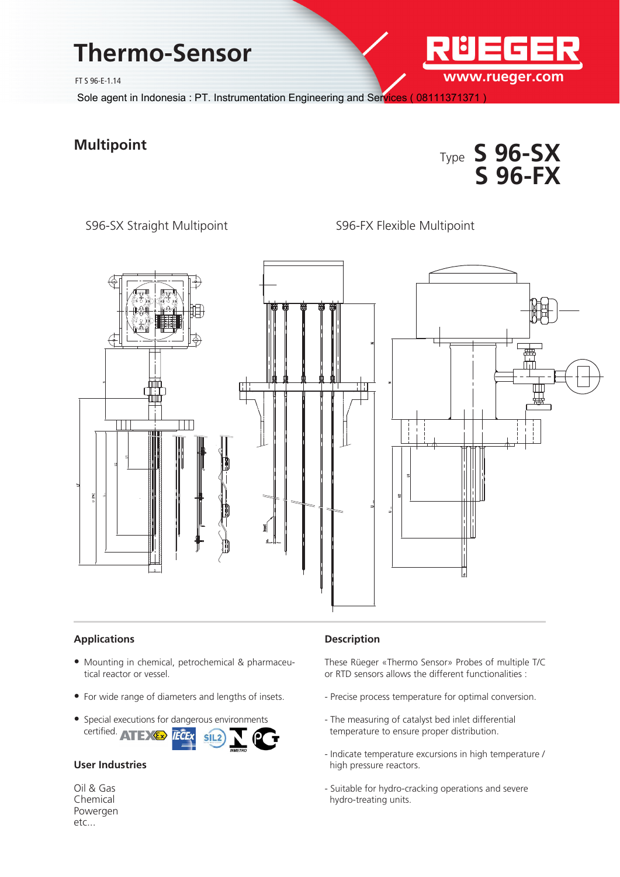# **Thermo-Sensor**

FT S 96-E-1.14

Sole agent in Indonesia : PT. Instrumentation Engineering and Services (08111371371

## **Multipoint**



**www.rueger.com**

S96-SX Straight Multipoint S96-FX Flexible Multipoint



#### **Applications**

- Mounting in chemical, petrochemical & pharmaceutical reactor or vessel.
- For wide range of diameters and lengths of insets.
- Special executions for dangerous environments certified. ATEXEX FCEX SIL2

### **User Industries**

Oil & Gas Chemical Powergen etc...

#### **Description**

These Rüeger «Thermo Sensor» Probes of multiple T/C or RTD sensors allows the different functionalities :

- Precise process temperature for optimal conversion.
- The measuring of catalyst bed inlet differential temperature to ensure proper distribution.
- Indicate temperature excursions in high temperature / high pressure reactors.
- Suitable for hydro-cracking operations and severe hydro-treating units.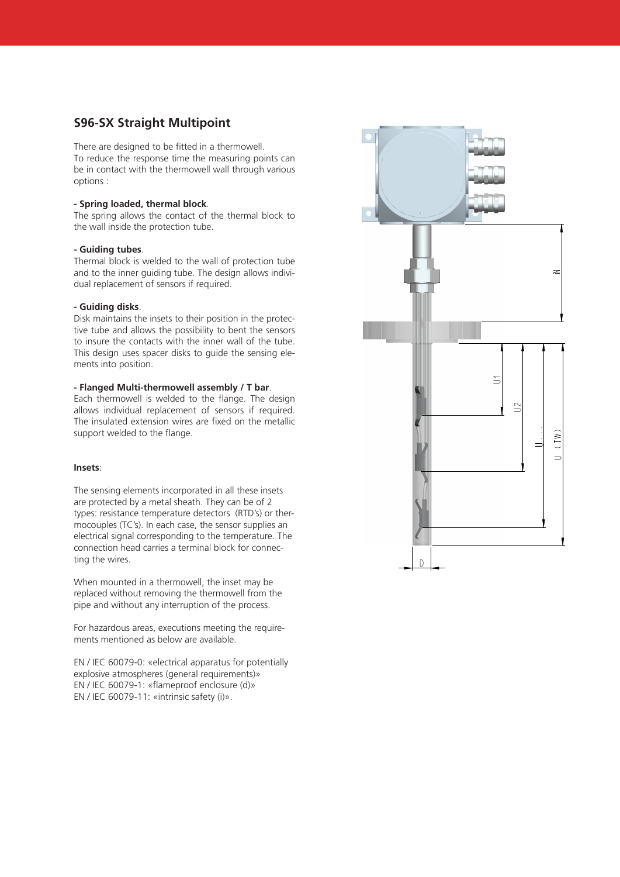### **S96-SX Straight Multipoint**

There are designed to be fitted in a thermowell. To reduce the response time the measuring points can be in contact with the thermowell wall through various options :

#### **- Spring loaded, thermal block**.

The spring allows the contact of the thermal block to the wall inside the protection tube.

#### **- Guiding tubes**.

Thermal block is welded to the wall of protection tube and to the inner guiding tube. The design allows individual replacement of sensors if required.

#### **- Guiding disks**.

Disk maintains the insets to their position in the protective tube and allows the possibility to bent the sensors to insure the contacts with the inner wall of the tube. This design uses spacer disks to guide the sensing elements into position.

#### **- Flanged Multi-thermowell assembly / T bar**.

Each thermowell is welded to the flange. The design allows individual replacement of sensors if required. The insulated extension wires are fixed on the metallic support welded to the flange.

#### **Insets**:

The sensing elements incorporated in all these insets are protected by a metal sheath. They can be of 2 types: resistance temperature detectors (RTD's) or thermocouples (TC's). In each case, the sensor supplies an electrical signal corresponding to the temperature. The connection head carries a terminal block for connecting the wires.

When mounted in a thermowell, the inset may be replaced without removing the thermowell from the pipe and without any interruption of the process.

For hazardous areas, executions meeting the requirements mentioned as below are available.

EN / IEC 60079-0: «electrical apparatus for potentially explosive atmospheres (general requirements)» EN / IEC 60079-1: «flameproof enclosure (d)» EN / IEC 60079-11: «intrinsic safety (i)».

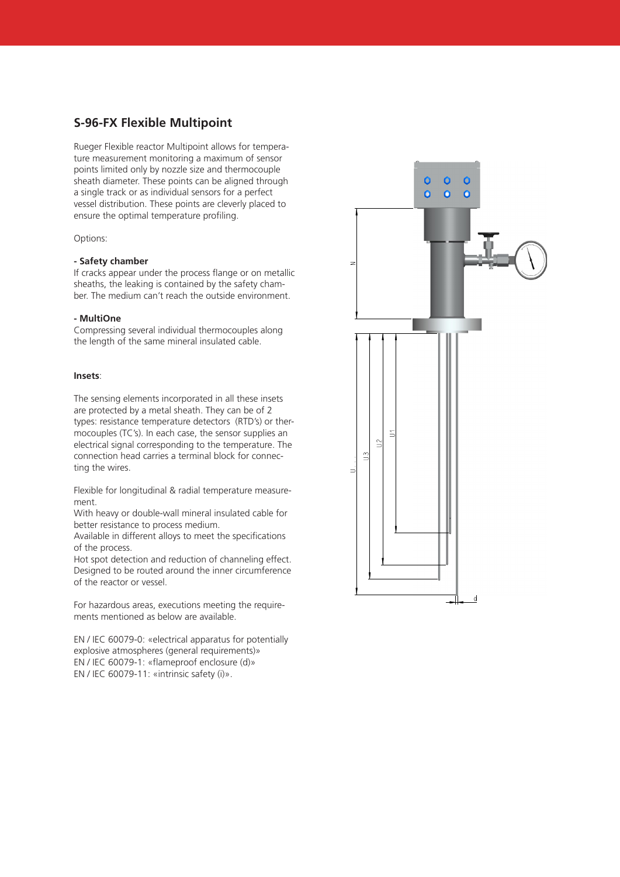#### **S-96-FX Flexible Multipoint**

Rueger Flexible reactor Multipoint allows for temperature measurement monitoring a maximum of sensor points limited only by nozzle size and thermocouple sheath diameter. These points can be aligned through a single track or as individual sensors for a perfect vessel distribution. These points are cleverly placed to ensure the optimal temperature profiling.

#### Options:

#### **- Safety chamber**

If cracks appear under the process flange or on metallic sheaths, the leaking is contained by the safety chamber. The medium can't reach the outside environment.

#### **- MultiOne**

Compressing several individual thermocouples along the length of the same mineral insulated cable.

#### **Insets**:

The sensing elements incorporated in all these insets are protected by a metal sheath. They can be of 2 types: resistance temperature detectors (RTD's) or thermocouples (TC's). In each case, the sensor supplies an electrical signal corresponding to the temperature. The connection head carries a terminal block for connecting the wires.

Flexible for longitudinal & radial temperature measurement.

With heavy or double-wall mineral insulated cable for better resistance to process medium.

Available in different alloys to meet the specifications of the process.

Hot spot detection and reduction of channeling effect. Designed to be routed around the inner circumference of the reactor or vessel.

For hazardous areas, executions meeting the requirements mentioned as below are available.

EN / IEC 60079-0: «electrical apparatus for potentially explosive atmospheres (general requirements)» EN / IEC 60079-1: «flameproof enclosure (d)» EN / IEC 60079-11: «intrinsic safety (i)».